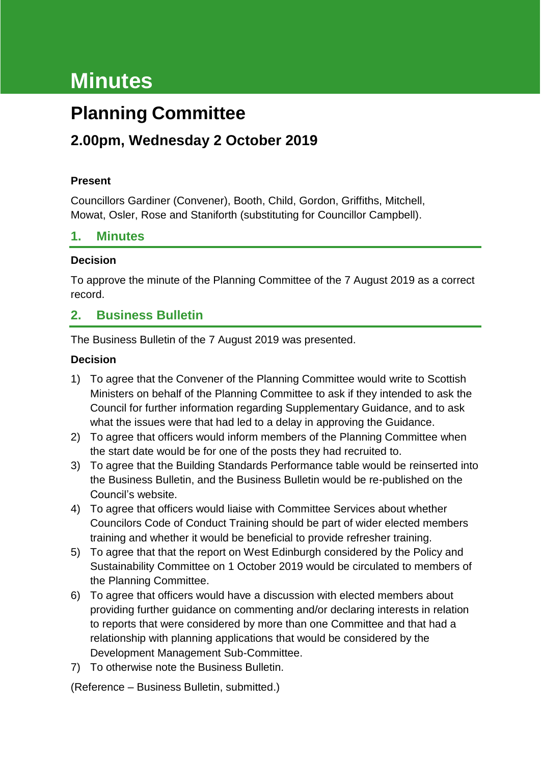# **Minutes**

## **Planning Committee**

## **2.00pm, Wednesday 2 October 2019**

#### **Present**

Councillors Gardiner (Convener), Booth, Child, Gordon, Griffiths, Mitchell, Mowat, Osler, Rose and Staniforth (substituting for Councillor Campbell).

## **1. Minutes**

#### **Decision**

To approve the minute of the Planning Committee of the 7 August 2019 as a correct record.

## **2. Business Bulletin**

The Business Bulletin of the 7 August 2019 was presented.

## **Decision**

- 1) To agree that the Convener of the Planning Committee would write to Scottish Ministers on behalf of the Planning Committee to ask if they intended to ask the Council for further information regarding Supplementary Guidance, and to ask what the issues were that had led to a delay in approving the Guidance.
- 2) To agree that officers would inform members of the Planning Committee when the start date would be for one of the posts they had recruited to.
- 3) To agree that the Building Standards Performance table would be reinserted into the Business Bulletin, and the Business Bulletin would be re-published on the Council's website.
- 4) To agree that officers would liaise with Committee Services about whether Councilors Code of Conduct Training should be part of wider elected members training and whether it would be beneficial to provide refresher training.
- 5) To agree that that the report on West Edinburgh considered by the Policy and Sustainability Committee on 1 October 2019 would be circulated to members of the Planning Committee.
- 6) To agree that officers would have a discussion with elected members about providing further guidance on commenting and/or declaring interests in relation to reports that were considered by more than one Committee and that had a relationship with planning applications that would be considered by the Development Management Sub-Committee.
- 7) To otherwise note the Business Bulletin.

(Reference – Business Bulletin, submitted.)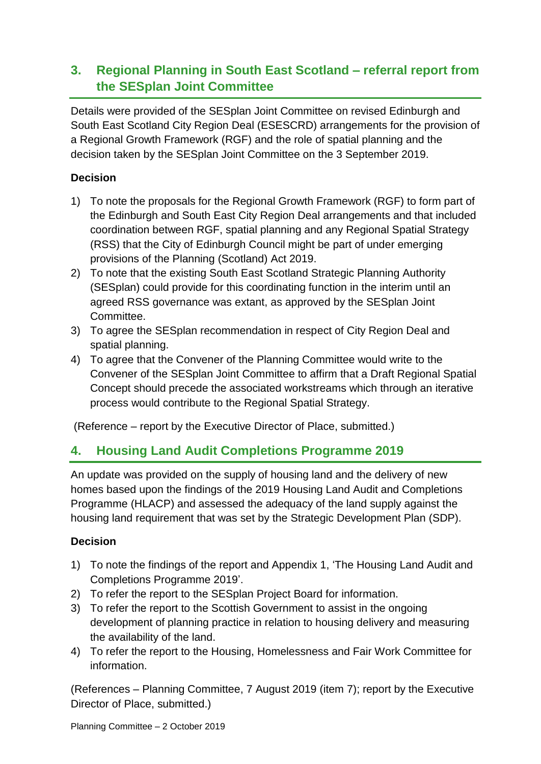## **3. Regional Planning in South East Scotland – referral report from the SESplan Joint Committee**

Details were provided of the SESplan Joint Committee on revised Edinburgh and South East Scotland City Region Deal (ESESCRD) arrangements for the provision of a Regional Growth Framework (RGF) and the role of spatial planning and the decision taken by the SESplan Joint Committee on the 3 September 2019.

## **Decision**

- 1) To note the proposals for the Regional Growth Framework (RGF) to form part of the Edinburgh and South East City Region Deal arrangements and that included coordination between RGF, spatial planning and any Regional Spatial Strategy (RSS) that the City of Edinburgh Council might be part of under emerging provisions of the Planning (Scotland) Act 2019.
- 2) To note that the existing South East Scotland Strategic Planning Authority (SESplan) could provide for this coordinating function in the interim until an agreed RSS governance was extant, as approved by the SESplan Joint Committee.
- 3) To agree the SESplan recommendation in respect of City Region Deal and spatial planning.
- 4) To agree that the Convener of the Planning Committee would write to the Convener of the SESplan Joint Committee to affirm that a Draft Regional Spatial Concept should precede the associated workstreams which through an iterative process would contribute to the Regional Spatial Strategy.

(Reference – report by the Executive Director of Place, submitted.)

## **4. Housing Land Audit Completions Programme 2019**

An update was provided on the supply of housing land and the delivery of new homes based upon the findings of the 2019 Housing Land Audit and Completions Programme (HLACP) and assessed the adequacy of the land supply against the housing land requirement that was set by the Strategic Development Plan (SDP).

#### **Decision**

- 1) To note the findings of the report and Appendix 1, 'The Housing Land Audit and Completions Programme 2019'.
- 2) To refer the report to the SESplan Project Board for information.
- 3) To refer the report to the Scottish Government to assist in the ongoing development of planning practice in relation to housing delivery and measuring the availability of the land.
- 4) To refer the report to the Housing, Homelessness and Fair Work Committee for information.

(References – Planning Committee, 7 August 2019 (item 7); report by the Executive Director of Place, submitted.)